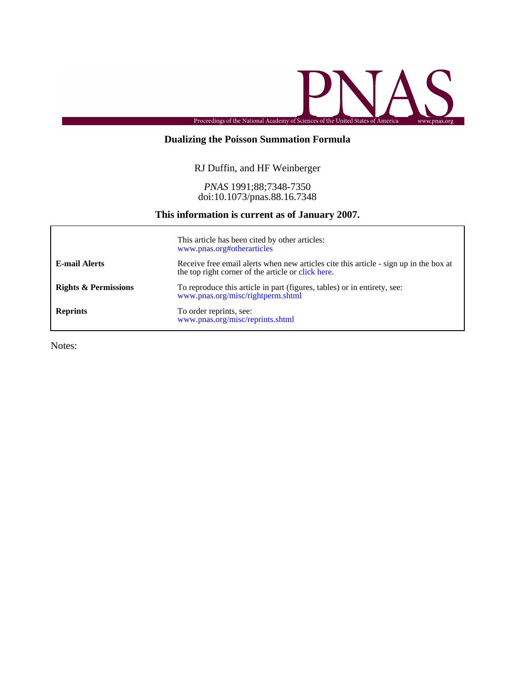

# **Dualizing the Poisson Summation Formula**

# RJ Duffin, and HF Weinberger

## doi:10.1073/pnas.88.16.7348 *PNAS* 1991;88;7348-7350

## **This information is current as of January 2007.**

|                                 | This article has been cited by other articles:<br>www.pnas.org#otherarticles                                                                |
|---------------------------------|---------------------------------------------------------------------------------------------------------------------------------------------|
| <b>E-mail Alerts</b>            | Receive free email alerts when new articles cite this article - sign up in the box at<br>the top right corner of the article or click here. |
| <b>Rights &amp; Permissions</b> | To reproduce this article in part (figures, tables) or in entirety, see:<br>www.pnas.org/misc/rightperm.shtml                               |
| <b>Reprints</b>                 | To order reprints, see:<br>www.pnas.org/misc/reprints.shtml                                                                                 |

Notes: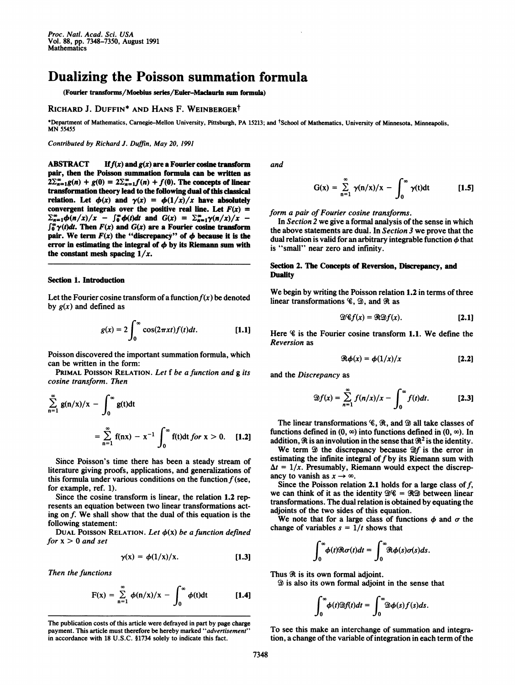# Dualizing the Poisson summation formula

(Fourier transforms/Moebius series/Euler-Maclaurin sum formula)

### RICHARD J. DUFFIN\* AND HANS F. WEINBERGERt

\*Department of Mathematics, Carnegie-Mellon University, Pittsburgh, PA 15213; and <sup>†</sup>School of Mathematics, University of Minnesota, Minneapolis, MN <sup>55455</sup>

Contributed by Richard J. Duffin, May 20, 1991

ABSTRACT If  $f(x)$  and  $g(x)$  are a Fourier cosine transform pair, then the Poisson summation formula can be written as  $2\sum_{n=1}^{\infty}g(n) + g(0) = 2\sum_{n=1}^{\infty}f(n) + f(0)$ . The concepts of linear transformation theory lead to the following dual of this classical relation. Let  $\phi(x)$  and  $\gamma(x) = \phi(1/x)/x$  have absolutely convergent integrals over the positive real line. Let  $F(x) =$  $\sum_{n=1}^{\infty} \phi(n/x)/x$  -  $\int_{0}^{\infty} \phi(t)dt$  and  $G(x) = \sum_{n=1}^{\infty} \gamma(n/x)/x$  - $\int_0^\infty \gamma(t) dt$ . Then  $F(x)$  and  $G(x)$  are a Fourier cosine transform pair. We term  $F(x)$  the "discrepancy" of  $\phi$  because it is the error in estimating the integral of  $\phi$  by its Riemann sum with the constant mesh spacing  $1/x$ .

#### Section l. Introduction

Let the Fourier cosine transform of a function  $f(x)$  be denoted by  $g(x)$  and defined as

$$
g(x) = 2 \int_0^\infty \cos(2\pi xt) f(t) dt.
$$
 [1.1]

Poisson discovered the important summation formula, which can be written in the form:

PRIMAL POISSON RELATION. Let f be a function and g its cosine transform. Then

$$
\sum_{n=1}^{\infty} g(n/x)/x - \int_{0}^{\infty} g(t)dt
$$
  
= 
$$
\sum_{n=1}^{\infty} f(nx) - x^{-1} \int_{0}^{\infty} f(t)dt \text{ for } x > 0.
$$
 [1.2]

Since Poisson's time there has been a steady stream of literature giving proofs, applications, and generalizations of this formula under various conditions on the function  $f$  (see, for example, ref. 1).

Since the cosine transform is linear, the relation 1.2 represents an equation between two linear transformations acting on f. We shall show that the dual of this equation is the following statement:

DUAL POISSON RELATION. Let  $\phi(x)$  be a function defined for  $x > 0$  and set

$$
\gamma(x) = \phi(1/x)/x. \qquad [1.3]
$$

Then the functions

$$
F(x) = \sum_{n=1}^{\infty} \phi(n/x)/x - \int_{0}^{\infty} \phi(t)dt
$$
 [1.4]

The publication costs of this article were defrayed in part by page charge payment. This article must therefore be hereby marked "advertisement" in accordance with 18 U.S.C. §1734 solely to indicate this fact.

and

$$
G(x) = \sum_{n=1}^{\infty} \gamma(n/x)/x - \int_0^{\infty} \gamma(t)dt
$$
 [1.5]

form a pair of Fourier cosine transforms.

In Section 2 we give a formal analysis of the sense in which the above statements are dual. In Section 3 we prove that the dual relation is valid for an arbitrary integrable function  $\phi$  that is "small" near zero and infinity.

### Section 2. The Concepts of Reversion, Discrepancy, and **Duality**

We begin by writing the Poisson relation 1.2 in terms of three linear transformations  $\mathscr{C}$ ,  $\mathscr{D}$ , and  $\mathscr{R}$  as

$$
\mathfrak{D}\mathscr{C}f(x)=\mathfrak{R}\mathfrak{D}f(x). \qquad \qquad [2.1]
$$

Here % is the Fourier cosine transform 1.1. We define the Reversion as

$$
\Re \phi(x) = \phi(1/x)/x \qquad [2.2]
$$

and the Discrepancy as

$$
\mathfrak{D}f(x) = \sum_{n=1}^{\infty} f(n/x)/x - \int_{0}^{\infty} f(t)dt.
$$
 [2.3]

The linear transformations  $\mathscr{C}$ ,  $\mathscr{R}$ , and  $\mathscr{D}$  all take classes of functions defined in  $(0, \infty)$  into functions defined in  $(0, \infty)$ . In addition,  $\Re$  is an involution in the sense that  $\Re^2$  is the identity.

We term  $\mathfrak{D}$  the discrepancy because  $\mathfrak{D}f$  is the error in estimating the infinite integral of  $f$  by its Riemann sum with  $\Delta t = 1/x$ . Presumably, Riemann would expect the discrepancy to vanish as  $x \rightarrow \infty$ .

Since the Poisson relation 2.1 holds for a large class of  $f$ , we can think of it as the identity  $\mathfrak{B} \mathscr{C} = \mathfrak{R} \mathfrak{D}$  between linear transformations. The dual relation is obtained by equating the adjoints of the two sides of this equation.

We note that for a large class of functions  $\phi$  and  $\sigma$  the change of variables  $s = 1/t$  shows that

[1.3] 
$$
\int_0^\infty \phi(t) \Re \sigma(t) dt = \int_0^\infty \Re \phi(s) \sigma(s) ds.
$$

Thus  $\Re$  is its own formal adjoint.

 $\mathfrak{D}$  is also its own formal adjoint in the sense that

$$
\int_0^\infty \phi(t) \mathfrak{D} f(t) dt = \int_0^\infty \mathfrak{D} \phi(s) f(s) ds.
$$

To see this make an interchange of summation and integration, a change of the variable of integration in each term of the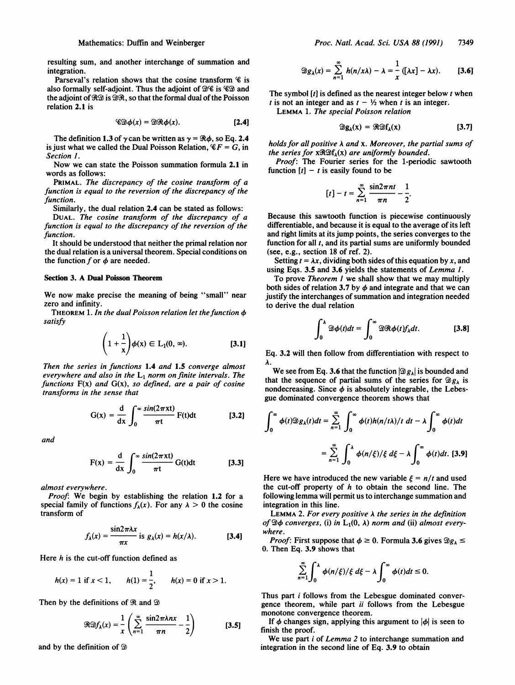resulting sum, and another interchange of summation and integration.

Parseval's relation shows that the cosine transform  $\mathscr C$  is also formally self-adjoint. Thus the adjoint of  $\mathfrak{B}\mathscr{C}$  is  $\mathscr{C}\mathfrak{D}$  and the adjoint of  $\mathcal{R}\mathcal{D}$  is  $\mathcal{D}\mathcal{R}$ , so that the formal dual of the Poisson relation 2.1 is

$$
\mathscr{CD}\phi(x)=\mathscr{D}\mathscr{R}\phi(x). \qquad \qquad [2.4]
$$

The definition 1.3 of  $\gamma$  can be written as  $\gamma = \Re \phi$ , so Eq. 2.4 is just what we called the Dual Poisson Relation,  $\mathscr{C}F = G$ , in Section 1.

Now we can state the Poisson summation formula 2.1 in words as follows:

PRIMAL. The discrepancy of the cosine transform of a function is equal to the reversion of the discrepancy of the function.

Similarly, the dual relation 2.4 can be stated as follows:

DUAL. The cosine transform of the discrepancy of a function is equal to the discrepancy of the reversion of the function.

It should be understood that neither the primal relation nor the dual relation is a universal theorem. Special conditions on the function  $f$  or  $\phi$  are needed.

#### Section 3. A Dual Poisson Theorem

We now make precise the meaning of being "small" near zero and infinity.

THEOREM 1. In the dual Poisson relation let the function  $\phi$ satisfy

$$
\left(1+\frac{1}{x}\right)\phi(x)\in L_1(0,\infty). \hspace{1cm} [3.1]
$$

Then the series in functions 1.4 and 1.5 converge almost everywhere and also in the  $L_1$  norm on finite intervals. The functions  $F(x)$  and  $G(x)$ , so defined, are a pair of cosine transforms in the sense that

$$
G(x) = \frac{d}{dx} \int_0^\infty \frac{\sin(2\pi xt)}{\pi t} F(t) dt
$$
 [3.2]

and

$$
F(x) = \frac{d}{dx} \int_0^\infty \frac{\sin(2\pi x t)}{\pi t} G(t) dt
$$
 [3.3]

almost everywhere.

Proof: We begin by establishing the relation 1.2 for a special family of functions  $f_{\lambda}(x)$ . For any  $\lambda > 0$  the cosine transform of

$$
f_{\lambda}(x) = \frac{\sin 2\pi \lambda x}{\pi x}
$$
 is  $g_{\lambda}(x) = h(x/\lambda)$ . [3.4]

Here  $h$  is the cut-off function defined as

$$
h(x) = 1
$$
 if  $x < 1$ ,  $h(1) = \frac{1}{2}$ ,  $h(x) = 0$  if  $x > 1$ .

Then by the definitions of  $\Re$  and  $\Im$ 

$$
\Re \mathfrak{D} f_{\lambda}(x) = \frac{1}{x} \left( \sum_{n=1}^{\infty} \frac{\sin 2\pi \lambda n x}{\pi n} - \frac{1}{2} \right) \tag{3.5}
$$

and by the definition of  $\mathfrak{D}$ 

$$
\mathfrak{D}g_{\lambda}(x)=\sum_{n=1}^{\infty}h(n/x\lambda)-\lambda=\frac{1}{x}([\lambda x]-\lambda x). \hspace{1cm} [3.6]
$$

The symbol  $[t]$  is defined as the nearest integer below t when t is not an integer and as  $t - \frac{1}{2}$  when t is an integer.

LEMMA 1. The special Poisson relation

$$
\mathfrak{D}g_{\lambda}(x) = \mathfrak{R} \mathfrak{D}f_{\lambda}(x) \qquad [3.7]
$$

holds for all positive  $\lambda$  and  $x$ . Moreover, the partial sums of the series for  $x\Re\mathfrak{B}f_{\lambda}(x)$  are uniformly bounded.

Proof: The Fourier series for the 1-periodic sawtooth function  $[t] - t$  is easily found to be

$$
[t]-t=\sum_{n=1}^{\infty}\frac{\sin 2\pi nt}{\pi n}-\frac{1}{2}.
$$

Because this sawtooth function is piecewise continuously differentiable, and because it is equal to the average of its left and right limits at its jump points, the series converges to the function for all  $t$ , and its partial sums are uniformly bounded (see, e.g., section 18 of ref. 2).

Setting  $t = \lambda x$ , dividing both sides of this equation by x, and using Eqs. 3.5 and 3.6 yields the statements of Lemma 1.

To prove Theorem <sup>1</sup> we shall show that we may multiply both sides of relation 3.7 by  $\phi$  and integrate and that we can justify the interchanges of summation and integration needed to derive the dual relation

$$
\int_0^\lambda \mathfrak{D}\phi(t)dt = \int_0^\infty \mathfrak{D}\Re \phi(t)f_\lambda dt. \tag{3.8}
$$

Eq. 3.2 will then follow from differentiation with respect to A.

We see from Eq. 3.6 that the function  $|\mathfrak{D}g_{\lambda}|$  is bounded and that the sequence of partial sums of the series for  $\mathfrak{D}g_{\lambda}$  is nondecreasing. Since  $\phi$  is absolutely integrable, the Lebesgue dominated convergence theorem shows that

$$
\int_0^\infty \phi(t) \mathfrak{B}_{\lambda}(t) dt = \sum_{n=1}^\infty \int_0^\infty \phi(t) h(n/t\lambda)/t \, dt - \lambda \int_0^\infty \phi(t) dt
$$

$$
= \sum_{n=1}^\infty \int_0^\lambda \phi(n/\xi)/\xi \, d\xi - \lambda \int_0^\infty \phi(t) dt. \text{ [3.9]}
$$
Here we have introduced the new variable  $\xi = n/t$  and used

Here we have introduced the new variable  $\xi = n/t$  and used the cut-off property of  $h$  to obtain the second line. The following lemma will permit us to interchange summation and integration in this line.

LEMMA 2. For every positive  $\lambda$  the series in the definition of  $\mathfrak{D}\phi$  converges, (i) in  $L_1(0, \lambda)$  norm and (ii) almost everywhere.

*Proof*: First suppose that  $\phi \ge 0$ . Formula 3.6 gives  $\mathcal{D}g_{\lambda} \le$ 0. Then Eq. 3.9 shows that

$$
\sum_{i=1}^{\infty}\int_{0}^{\lambda}\phi(n/\xi)/\xi\,d\xi-\lambda\int_{0}^{\infty}\phi(t)dt\leq 0.
$$

Thus part <sup>i</sup> follows from the Lebesgue dominated convergence theorem, while part ii follows from the Lebesgue monotone convergence theorem.

If  $\phi$  changes sign, applying this argument to  $|\phi|$  is seen to finish the proof.

We use part *i* of *Lemma 2* to interchange summation and integration in the second line of Eq. 3.9 to obtain